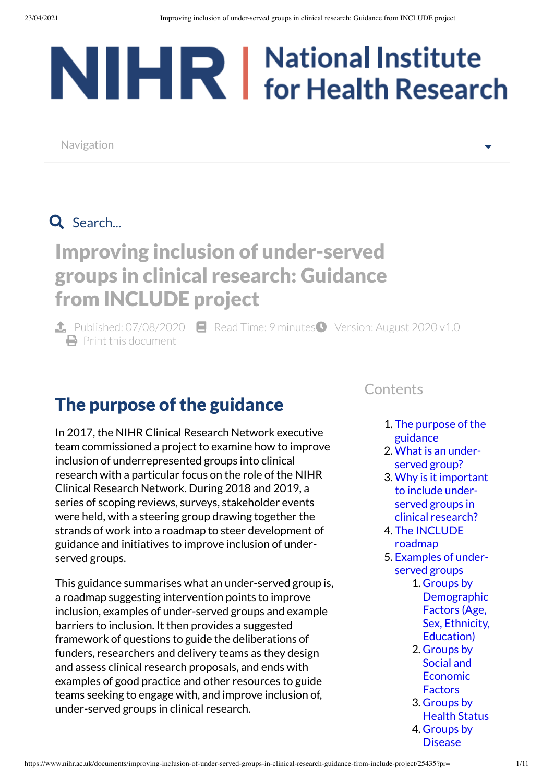# NIHR | National Institute

Navigation

# Q Search...

# Improving inclusion of under-served groups in clinical research: Guidance from INCLUDE project

**1.** Published:  $07/08/2020$  **E** Read Time: 9 minutes Version: August 2020 v1.0  $\bigoplus$  Print this [document](https://www.nihr.ac.uk/documents/improving-inclusion-of-under-served-groups-in-clinical-research-guidance-from-include-project/25435?pr=)

# <span id="page-0-0"></span>The purpose of the guidance

In 2017, the NIHR Clinical Research Network executive team commissioned a project to examine how to improve inclusion of underrepresented groups into clinical research with a particular focus on the role of the NIHR Clinical Research Network. During 2018 and 2019, a series of scoping reviews, surveys, stakeholder events were held, with a steering group drawing together the strands of work into a roadmap to steer development of guidance and initiatives to improve inclusion of underserved groups.

This guidance summarises what an under-served group is, a roadmap suggesting intervention points to improve inclusion, examples of under-served groups and example barriers to inclusion. It then provides a suggested framework of questions to guide the deliberations of funders, researchers and delivery teams as they design and assess clinical research proposals, and ends with examples of good practice and other resources to guide teams seeking to engage with, and improve inclusion of, under-served groups in clinical research.

#### **Contents**

1. The purpose of the [guidance](#page-0-0)

▾

- 2. What is an under[served group?](#page-1-0)
- 3. Why is it important to include under[served groups](#page-1-1) in clinical research?
- 4. The [INCLUDE](#page-2-0) roadmap
- 5. Examples of under[served groups](#page-3-0)
	- 1. Groups by **[Demographic](#page-3-1)** Factors (Age, Sex, Ethnicity, Education)
	- 2. Groups by Social and [Economic](#page-3-2) **Factors**
	- 3. [Groups](#page-4-0) by Health Status 4. Groups by **[Disease](#page-4-1)**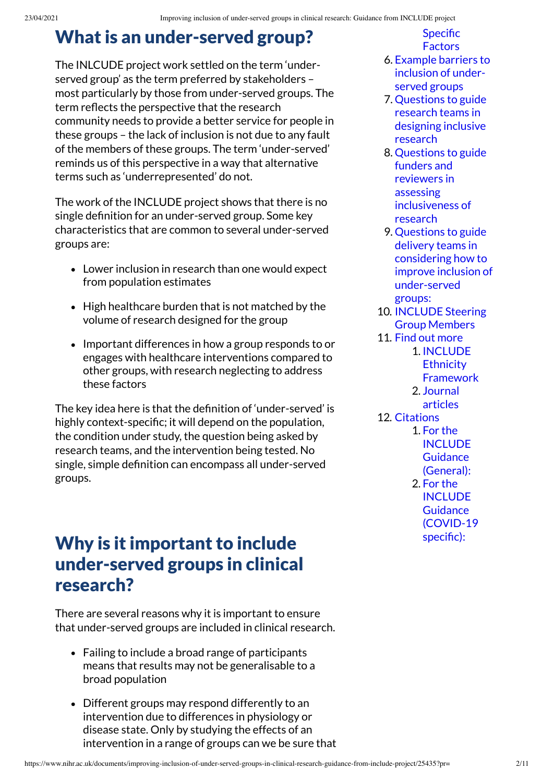## <span id="page-1-0"></span>What is an under-served group?

The INLCUDE project work settled on the term 'underserved group' as the term preferred by stakeholders – most particularly by those from under-served groups. The term reflects the perspective that the research community needs to provide a better service for people in these groups – the lack of inclusion is not due to any fault of the members of these groups. The term 'under-served' reminds us of this perspective in a way that alternative terms such as 'underrepresented' do not.

The work of the INCLUDE project shows that there is no single definition for an under-served group. Some key characteristics that are common to several under-served groups are:

- Lower inclusion in research than one would expect from population estimates
- High healthcare burden that is not matched by the volume of research designed for the group
- Important differences in how a group responds to or engages with healthcare interventions compared to other groups, with research neglecting to address these factors

The key idea here is that the definition of 'under-served' is highly context-specific; it will depend on the population, the condition under study, the question being asked by research teams, and the intervention being tested. No single, simple definition can encompass all under-served groups.

#### <span id="page-1-1"></span>Why is it important to include under-served groups in clinical research?

There are several reasons why it is important to ensure that under-served groups are included in clinical research.

- Failing to include a broad range of participants means that results may not be generalisable to a broad population
- Different groups may respond differently to an intervention due to differences in physiology or disease state. Only by studying the effects of an intervention in a range of groups can we be sure that

Specific **Factors** 

- 6. Example barriers to inclusion of under[served groups](#page-4-2)
- 7. [Questions](#page-5-0) to guide research teams in designing inclusive research
- 8. Questions to guide funders and reviewers in assessing [inclusiveness](#page-6-0) of research
- 9. Questions to guide delivery teams in considering how to improve inclusion of [under-served](#page-6-1) groups:
- 10. [INCLUDE](#page-7-0) Steering Group Members
- 11. [Find out](#page-8-0) more 1. INCLUDE **Ethnicity** 
	- **[Framework](#page-8-1)**
	- 2. [Journal](#page-8-2) articles
- 12. [Citations](#page-9-0) 1. For the [INCLUDE](#page-9-1) **Guidance** (General): 2. For the

INCLUDE **Guidance** [\(COVID-19](#page-9-2) specific):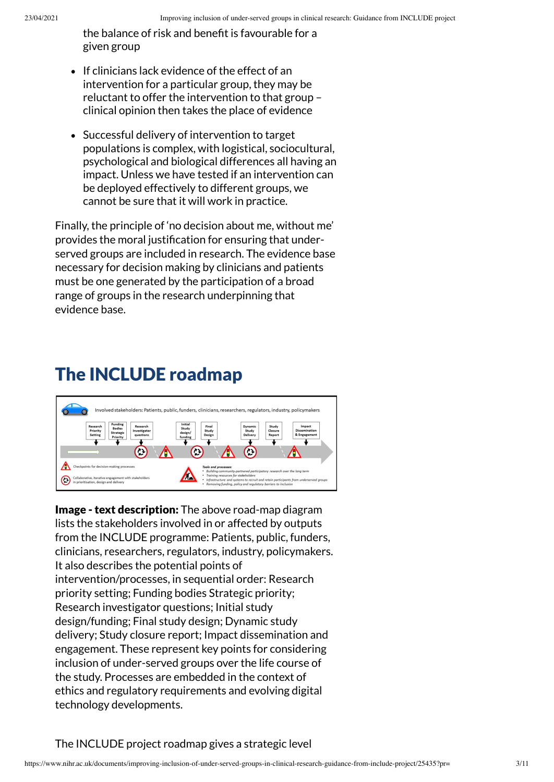the balance of risk and benefit is favourable for a given group

- If clinicians lack evidence of the effect of an intervention for a particular group, they may be reluctant to offer the intervention to that group – clinical opinion then takes the place of evidence
- Successful delivery of intervention to target populations is complex, with logistical, sociocultural, psychological and biological differences all having an impact. Unless we have tested if an intervention can be deployed effectively to different groups, we cannot be sure that it will work in practice.

Finally, the principle of 'no decision about me, without me' provides the moral justification for ensuring that underserved groups are included in research. The evidence base necessary for decision making by clinicians and patients must be one generated by the participation of a broad range of groups in the research underpinning that evidence base.

# <span id="page-2-0"></span>The INCLUDE roadmap



**Image - text description:** The above road-map diagram lists the stakeholders involved in or affected by outputs from the INCLUDE programme: Patients, public, funders, clinicians, researchers, regulators, industry, policymakers. It also describes the potential points of intervention/processes, in sequential order: Research priority setting; Funding bodies Strategic priority; Research investigator questions; Initial study design/funding; Final study design; Dynamic study delivery; Study closure report; Impact dissemination and engagement. These represent key points for considering inclusion of under-served groups over the life course of the study. Processes are embedded in the context of ethics and regulatory requirements and evolving digital technology developments.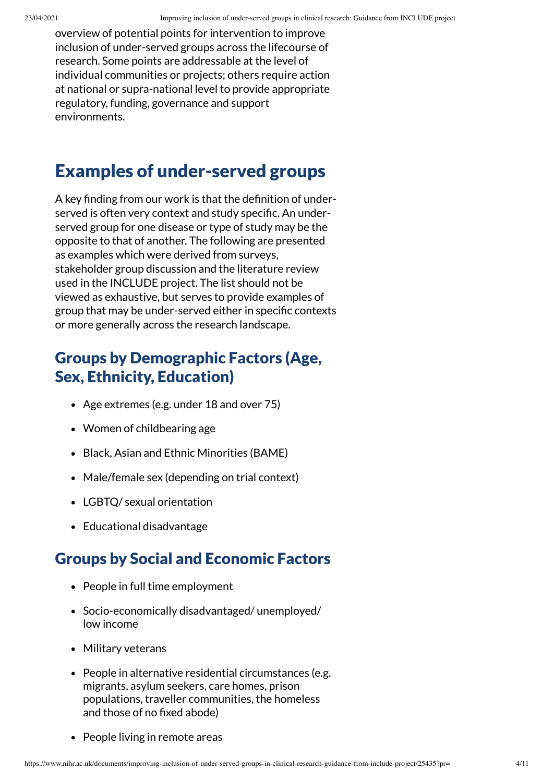overview of potential points for intervention to improve inclusion of under-served groups across the lifecourse of research. Some points are addressable at the level of individual communities or projects; others require action at national or supra-national level to provide appropriate regulatory, funding, governance and support environments.

## <span id="page-3-0"></span>Examples of under-served groups

A key finding from our work is that the definition of underserved is often very context and study specific. An underserved group for one disease or type of study may be the opposite to that of another. The following are presented as examples which were derived from surveys, stakeholder group discussion and the literature review used in the INCLUDE project. The list should not be viewed as exhaustive, but serves to provide examples of group that may be under-served either in specific contexts or more generally across the research landscape.

#### <span id="page-3-1"></span>Groups by Demographic Factors (Age, Sex, Ethnicity, Education)

- Age extremes (e.g. under 18 and over 75)
- Women of childbearing age
- Black, Asian and Ethnic Minorities (BAME)
- Male/female sex (depending on trial context)
- LGBTQ/ sexual orientation
- Educational disadvantage

#### <span id="page-3-2"></span>Groups by Social and Economic Factors

- People in full time employment
- Socio-economically disadvantaged/ unemployed/ low income
- Military veterans
- People in alternative residential circumstances (e.g. migrants, asylum seekers, care homes, prison populations, traveller communities, the homeless and those of no fixed abode)
- People living in remote areas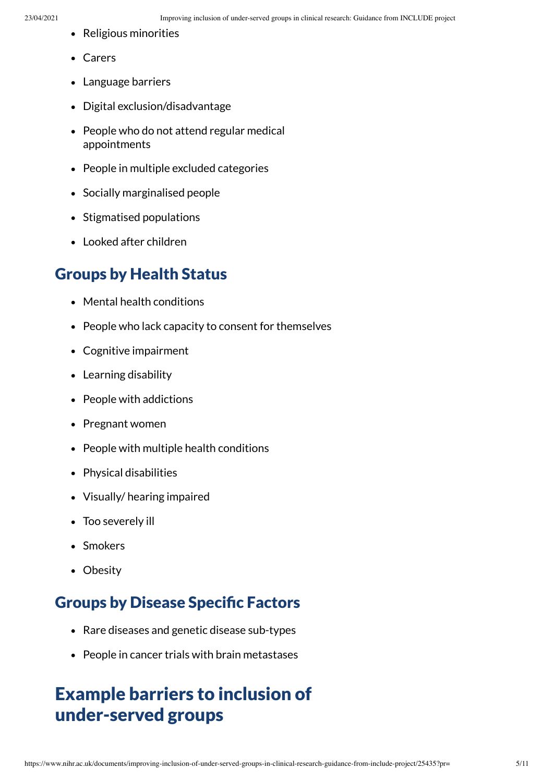- Religious minorities
- Carers
- Language barriers
- Digital exclusion/disadvantage
- People who do not attend regular medical appointments
- People in multiple excluded categories
- Socially marginalised people
- Stigmatised populations
- Looked after children

#### <span id="page-4-0"></span>Groups by Health Status

- Mental health conditions
- People who lack capacity to consent for themselves
- Cognitive impairment
- Learning disability
- People with addictions
- Pregnant women
- People with multiple health conditions
- Physical disabilities
- Visually/ hearing impaired
- Too severely ill
- Smokers
- Obesity

#### <span id="page-4-1"></span>**Groups by Disease Specific Factors**

- Rare diseases and genetic disease sub-types
- People in cancer trials with brain metastases

# <span id="page-4-2"></span>Example barriers to inclusion of under-served groups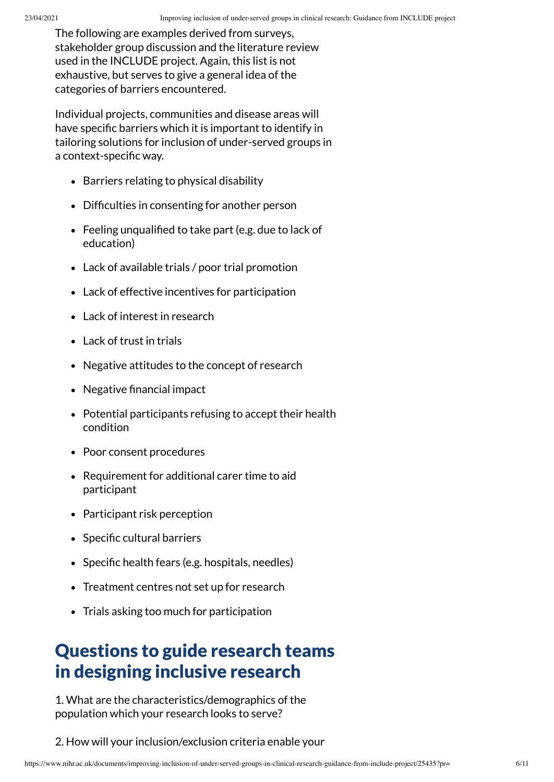The following are examples derived from surveys, stakeholder group discussion and the literature review used in the INCLUDE project. Again, this list is not exhaustive, but serves to give a general idea of the categories of barriers encountered.

Individual projects, communities and disease areas will have specific barriers which it is important to identify in tailoring solutions for inclusion of under-served groups in a context-specific way.

- Barriers relating to physical disability
- Difficulties in consenting for another person
- Feeling unqualified to take part (e.g. due to lack of education)
- Lack of available trials / poor trial promotion
- Lack of effective incentives for participation
- Lack of interest in research
- Lack of trust in trials
- Negative attitudes to the concept of research
- $\bullet$  Negative financial impact
- Potential participants refusing to accept their health condition
- Poor consent procedures
- Requirement for additional carer time to aid participant
- Participant risk perception
- Specific cultural barriers
- $\bullet$  Specific health fears (e.g. hospitals, needles)
- Treatment centres not set up for research
- Trials asking too much for participation

## <span id="page-5-0"></span>Questions to guide research teams in designing inclusive research

1. What are the characteristics/demographics of the population which your research looks to serve?

2. How will your inclusion/exclusion criteria enable your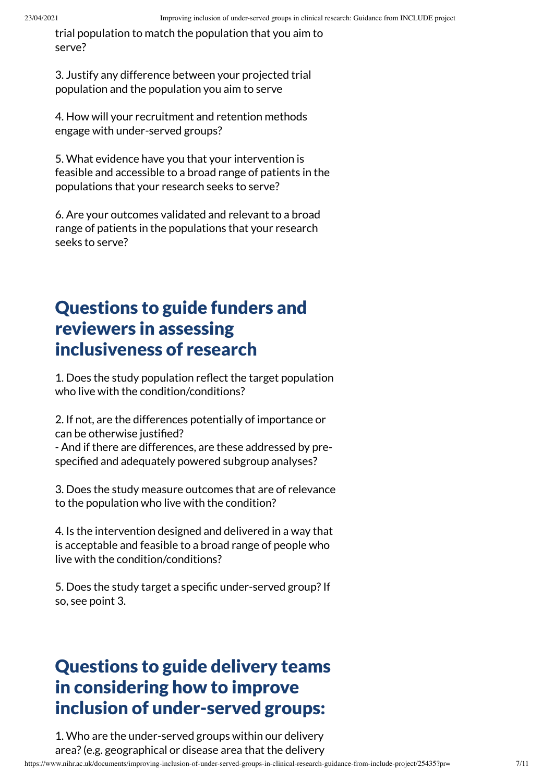trial population to match the population that you aim to serve?

3. Justify any difference between your projected trial population and the population you aim to serve

4. How will your recruitment and retention methods engage with under-served groups?

5. What evidence have you that your intervention is feasible and accessible to a broad range of patients in the populations that your research seeks to serve?

6. Are your outcomes validated and relevant to a broad range of patients in the populations that your research seeks to serve?

## <span id="page-6-0"></span>Questions to guide funders and reviewers in assessing inclusiveness of research

1. Does the study population reflect the target population who live with the condition/conditions?

2. If not, are the differences potentially of importance or can be otherwise justified?

- And if there are differences, are these addressed by prespecified and adequately powered subgroup analyses?

3. Does the study measure outcomes that are of relevance to the population who live with the condition?

4. Is the intervention designed and delivered in a way that is acceptable and feasible to a broad range of people who live with the condition/conditions?

5. Does the study target a specific under-served group? If so, see point 3.

## <span id="page-6-1"></span>Questions to guide delivery teams in considering how to improve inclusion of under-served groups:

1. Who are the under-served groups within our delivery area?(e.g. geographical or disease area that the delivery

https://www.nihr.ac.uk/documents/improving-inclusion-of-under-served-groups-in-clinical-research-guidance-from-include-project/25435?pr= 7/11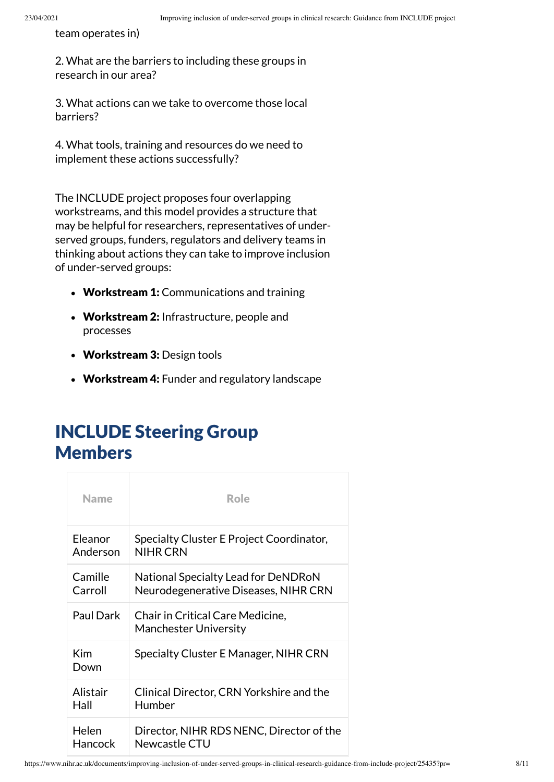team operates in)

2. What are the barriers to including these groups in research in our area?

3. What actions can we take to overcome those local barriers?

4. What tools, training and resources do we need to implement these actions successfully?

The INCLUDE project proposes four overlapping workstreams, and this model provides a structure that may be helpful for researchers, representatives of underserved groups, funders, regulators and delivery teams in thinking about actions they can take to improve inclusion of under-served groups:

- Workstream 1: Communications and training
- Workstream 2: Infrastructure, people and processes
- Workstream 3: Design tools
- Workstream 4: Funder and regulatory landscape

## <span id="page-7-0"></span>INCLUDE Steering Group Members

| <b>Name</b> | <b>Role</b>                                                      |
|-------------|------------------------------------------------------------------|
| Eleanor     | Specialty Cluster E Project Coordinator,                         |
| Anderson    | <b>NIHR CRN</b>                                                  |
| Camille     | National Specialty Lead for DeNDRoN                              |
| Carroll     | Neurodegenerative Diseases, NIHR CRN                             |
| Paul Dark   | Chair in Critical Care Medicine,<br><b>Manchester University</b> |
| Kim<br>Down | Specialty Cluster E Manager, NIHR CRN                            |
| Alistair    | Clinical Director, CRN Yorkshire and the                         |
| Hall        | Humber                                                           |
| Helen       | Director, NIHR RDS NENC, Director of the                         |
| Hancock     | Newcastle CTU                                                    |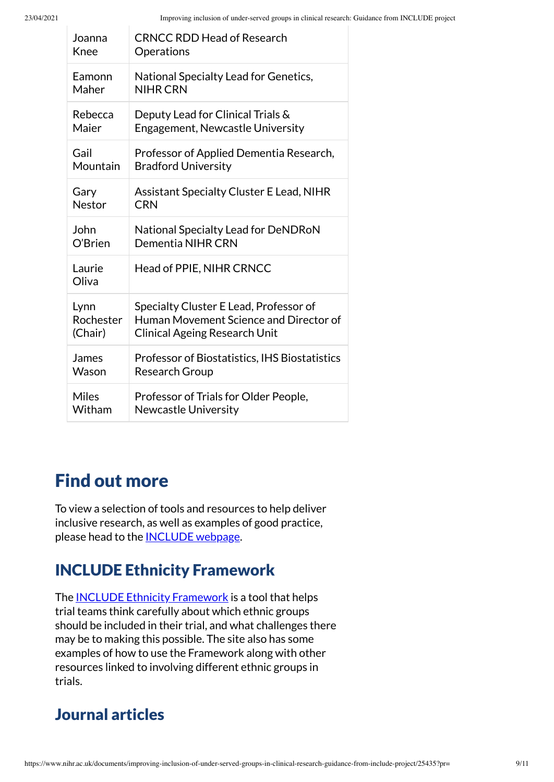| Joanna          | <b>CRNCC RDD Head of Research</b>               |
|-----------------|-------------------------------------------------|
| Knee            | Operations                                      |
| Eamonn          | National Specialty Lead for Genetics,           |
| Maher           | <b>NIHR CRN</b>                                 |
| Rebecca         | Deputy Lead for Clinical Trials &               |
| Maier           | Engagement, Newcastle University                |
| Gail            | Professor of Applied Dementia Research,         |
| Mountain        | <b>Bradford University</b>                      |
| Gary            | <b>Assistant Specialty Cluster E Lead, NIHR</b> |
| Nestor          | <b>CRN</b>                                      |
| John            | National Specialty Lead for DeNDRoN             |
| O'Brien         | Dementia NIHR CRN                               |
| Laurie<br>Oliva | Head of PPIE, NIHR CRNCC                        |
| Lynn            | Specialty Cluster E Lead, Professor of          |
| Rochester       | Human Movement Science and Director of          |
| (Chair)         | <b>Clinical Ageing Research Unit</b>            |
| James           | Professor of Biostatistics, IHS Biostatistics   |
| Wason           | <b>Research Group</b>                           |
| <b>Miles</b>    | Professor of Trials for Older People,           |
| Witham          | <b>Newcastle University</b>                     |

# <span id="page-8-0"></span>Find out more

To view a selection of tools and resources to help deliver inclusive research, as well as examples of good practice, please head to the **[INCLUDE](https://sites.google.com/nihr.ac.uk/include/home)** webpage.

#### <span id="page-8-1"></span>INCLUDE Ethnicity Framework

The INCLUDE Ethnicity [Framework](https://www.trialforge.org/trial-forge-centre/include/) is a tool that helps trial teams think carefully about which ethnic groups should be included in their trial, and what challenges there may be to making this possible. The site also has some examples of how to use the Framework along with other resources linked to involving different ethnic groups in trials.

#### <span id="page-8-2"></span>Journal articles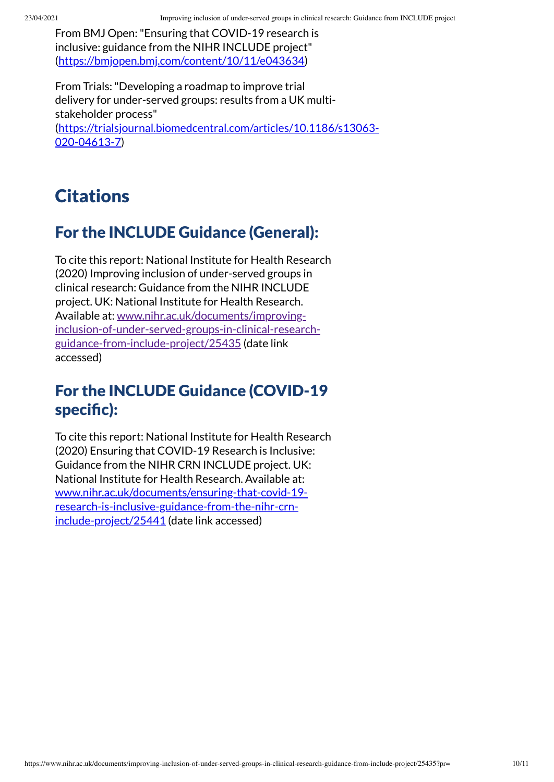From BMJ Open:"Ensuring that COVID-19 research is inclusive: guidance from the NIHR INCLUDE project" [\(https://bmjopen.bmj.com/content/10/11/e043634](https://bmjopen.bmj.com/content/10/11/e043634))

From Trials:"Developing a roadmap to improve trial delivery for under-served groups: results from a UK multistakeholder process" [\(https://trialsjournal.biomedcentral.com/articles/10.1186/s13063-](https://trialsjournal.biomedcentral.com/articles/10.1186/s13063-020-04613-7) 020-04613-7)

# <span id="page-9-0"></span>**Citations**

#### <span id="page-9-1"></span>For the INCLUDE Guidance (General):

To cite this report: National Institute for Health Research (2020) Improving inclusion of under-served groups in clinical research: Guidance from the NIHR INCLUDE project. UK: National Institute for Health Research. Available at: www.nihr.ac.uk/documents/improving[inclusion-of-under-served-groups-in-clinical-research](https://www.nihr.ac.uk/documents/improving-inclusion-of-under-served-groups-in-clinical-research-guidance-from-include-project/25435)guidance-from-include-project/25435 (date link accessed)

#### <span id="page-9-2"></span>For the INCLUDE Guidance (COVID-19 specific):

To cite this report: National Institute for Health Research (2020) Ensuring that COVID-19 Research is Inclusive: Guidance from the NIHR CRN INCLUDE project. UK: National Institute for Health Research. Available at: [www.nihr.ac.uk/documents/ensuring-that-covid-19](https://www.nihr.ac.uk/documents/ensuring-that-covid-19-research-is-inclusive-guidance-from-the-nihr-crn-include-project/25441) research-is-inclusive-guidance-from-the-nihr-crninclude-project/25441 (date link accessed)